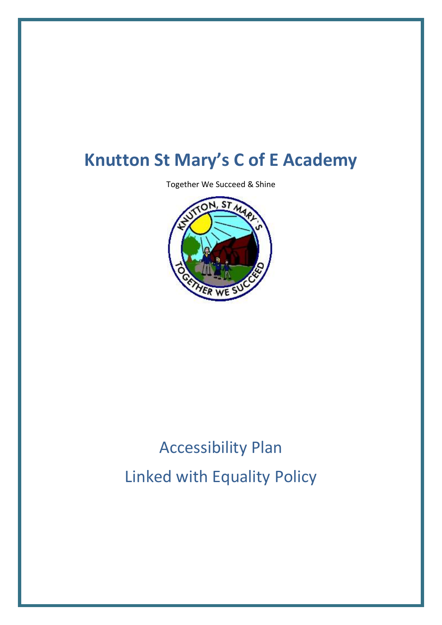## **Knutton St Mary's C of E Academy**

Together We Succeed & Shine



# Accessibility Plan Linked with Equality Policy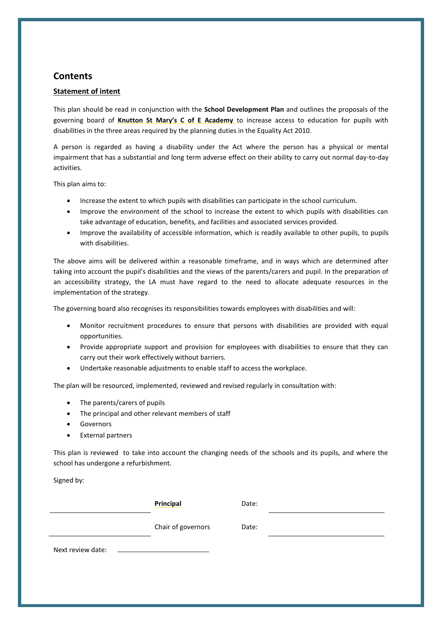#### **Contents**

#### **Statement of intent**

This plan should be read in conjunction with the **School Development Plan** and outlines the proposals of the governing board of **Knutton St Mary's C of E Academy** to increase access to education for pupils with disabilities in the three areas required by the planning duties in the Equality Act 2010.

A person is regarded as having a disability under the Act where the person has a physical or mental impairment that has a substantial and long term adverse effect on their ability to carry out normal day-to-day activities.

This plan aims to:

- Increase the extent to which pupils with disabilities can participate in the school curriculum.
- Improve the environment of the school to increase the extent to which pupils with disabilities can take advantage of education, benefits, and facilities and associated services provided.
- Improve the availability of accessible information, which is readily available to other pupils, to pupils with disabilities.

The above aims will be delivered within a reasonable timeframe, and in ways which are determined after taking into account the pupil's disabilities and the views of the parents/carers and pupil. In the preparation of an accessibility strategy, the LA must have regard to the need to allocate adequate resources in the implementation of the strategy.

The governing board also recognises its responsibilities towards employees with disabilities and will:

- Monitor recruitment procedures to ensure that persons with disabilities are provided with equal opportunities.
- Provide appropriate support and provision for employees with disabilities to ensure that they can carry out their work effectively without barriers.
- Undertake reasonable adjustments to enable staff to access the workplace.

The plan will be resourced, implemented, reviewed and revised regularly in consultation with:

- The parents/carers of pupils
- The principal and other relevant members of staff
- Governors
- **•** External partners

This plan is reviewed to take into account the changing needs of the schools and its pupils, and where the school has undergone a refurbishment.

Signed by:

**Principal** Date:

Chair of governors Date:

Next review date: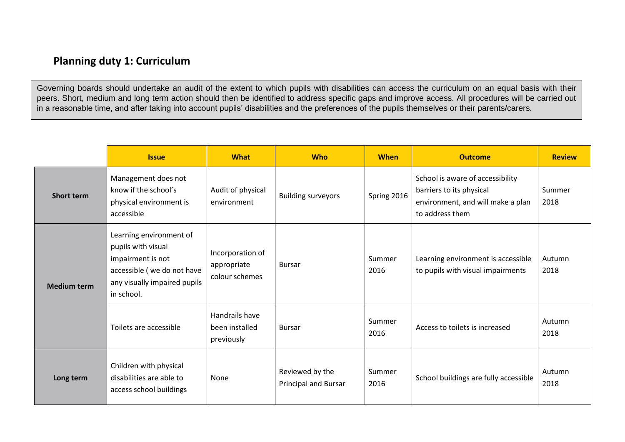## **Planning duty 1: Curriculum**

Governing boards should undertake an audit of the extent to which pupils with disabilities can access the curriculum on an equal basis with their peers. Short, medium and long term action should then be identified to address specific gaps and improve access. All procedures will be carried out in a reasonable time, and after taking into account pupils' disabilities and the preferences of the pupils themselves or their parents/carers.

|                    | <b>Issue</b>                                                                                                                                   | <b>What</b>                                       | <b>Who</b>                                     | <b>When</b>    | <b>Outcome</b>                                                                                                       | <b>Review</b>  |
|--------------------|------------------------------------------------------------------------------------------------------------------------------------------------|---------------------------------------------------|------------------------------------------------|----------------|----------------------------------------------------------------------------------------------------------------------|----------------|
| <b>Short term</b>  | Management does not<br>know if the school's<br>physical environment is<br>accessible                                                           | Audit of physical<br>environment                  | <b>Building surveyors</b>                      | Spring 2016    | School is aware of accessibility<br>barriers to its physical<br>environment, and will make a plan<br>to address them | Summer<br>2018 |
| <b>Medium term</b> | Learning environment of<br>pupils with visual<br>impairment is not<br>accessible (we do not have<br>any visually impaired pupils<br>in school. | Incorporation of<br>appropriate<br>colour schemes | <b>Bursar</b>                                  | Summer<br>2016 | Learning environment is accessible<br>to pupils with visual impairments                                              | Autumn<br>2018 |
|                    | Toilets are accessible                                                                                                                         | Handrails have<br>been installed<br>previously    | <b>Bursar</b>                                  | Summer<br>2016 | Access to toilets is increased                                                                                       | Autumn<br>2018 |
| Long term          | Children with physical<br>disabilities are able to<br>access school buildings                                                                  | None                                              | Reviewed by the<br><b>Principal and Bursar</b> | Summer<br>2016 | School buildings are fully accessible                                                                                | Autumn<br>2018 |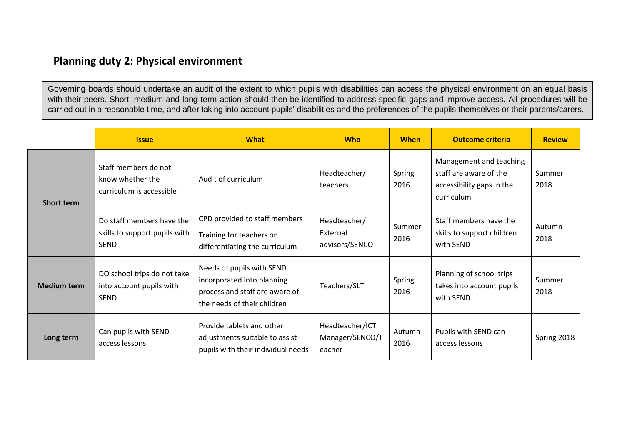### **Planning duty 2: Physical environment**

Governing boards should undertake an audit of the extent to which pupils with disabilities can access the physical environment on an equal basis with their peers. Short, medium and long term action should then be identified to address specific gaps and improve access. All procedures will be carried out in a reasonable time, and after taking into account pupils' disabilities and the preferences of the pupils themselves or their parents/carers.

|                    | <b>What</b><br><b>Issue</b>                                               |                                                                                                                          | <b>Who</b>                                   | <b>When</b>    | <b>Outcome criteria</b>                                                                      | <b>Review</b>  |
|--------------------|---------------------------------------------------------------------------|--------------------------------------------------------------------------------------------------------------------------|----------------------------------------------|----------------|----------------------------------------------------------------------------------------------|----------------|
| <b>Short term</b>  | Staff members do not<br>know whether the<br>curriculum is accessible      | Audit of curriculum                                                                                                      | Headteacher/<br>teachers                     | Spring<br>2016 | Management and teaching<br>staff are aware of the<br>accessibility gaps in the<br>curriculum | Summer<br>2018 |
|                    | Do staff members have the<br>skills to support pupils with<br><b>SEND</b> | CPD provided to staff members<br>Training for teachers on<br>differentiating the curriculum                              | Headteacher/<br>External<br>advisors/SENCO   | Summer<br>2016 | Staff members have the<br>skills to support children<br>with SEND                            | Autumn<br>2018 |
| <b>Medium term</b> | DO school trips do not take<br>into account pupils with<br><b>SEND</b>    | Needs of pupils with SEND<br>incorporated into planning<br>process and staff are aware of<br>the needs of their children | Teachers/SLT                                 | Spring<br>2016 | Planning of school trips<br>takes into account pupils<br>with SEND                           | Summer<br>2018 |
| Long term          | Can pupils with SEND<br>access lessons                                    | Provide tablets and other<br>adjustments suitable to assist<br>pupils with their individual needs                        | Headteacher/ICT<br>Manager/SENCO/T<br>eacher | Autumn<br>2016 | Pupils with SEND can<br>access lessons                                                       | Spring 2018    |